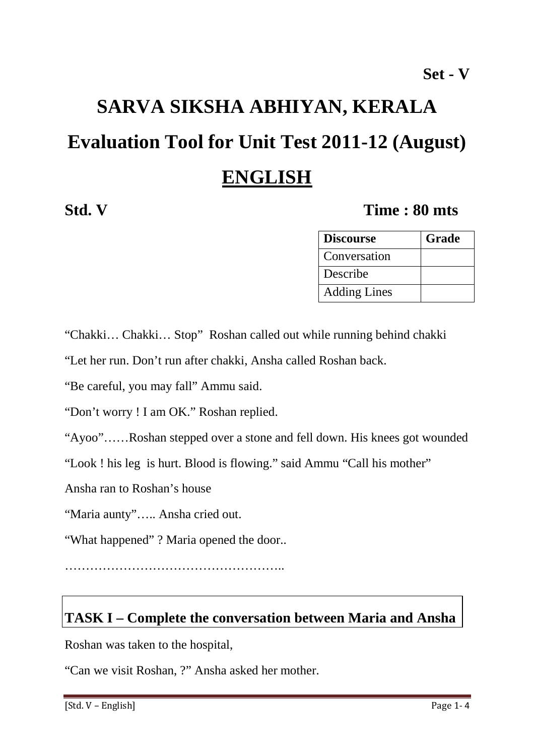# **SARVA SIKSHA ABHIYAN, KERALA Evaluation Tool for Unit Test 2011-12 (August) ENGLISH**

#### **Std. V Time : 80 mts**

| <b>Discourse</b>    | Grade |
|---------------------|-------|
| Conversation        |       |
| Describe            |       |
| <b>Adding Lines</b> |       |

"Chakki… Chakki… Stop" Roshan called out while running behind chakki

"Let her run. Don't run after chakki, Ansha called Roshan back.

"Be careful, you may fall" Ammu said.

"Don't worry ! I am OK." Roshan replied.

"Ayoo"……Roshan stepped over a stone and fell down. His knees got wounded

"Look ! his leg is hurt. Blood is flowing." said Ammu "Call his mother"

Ansha ran to Roshan's house

"Maria aunty"….. Ansha cried out.

"What happened" ? Maria opened the door..

……………………………………………..

### **TASK I – Complete the conversation between Maria and Ansha**

Roshan was taken to the hospital,

"Can we visit Roshan, ?" Ansha asked her mother.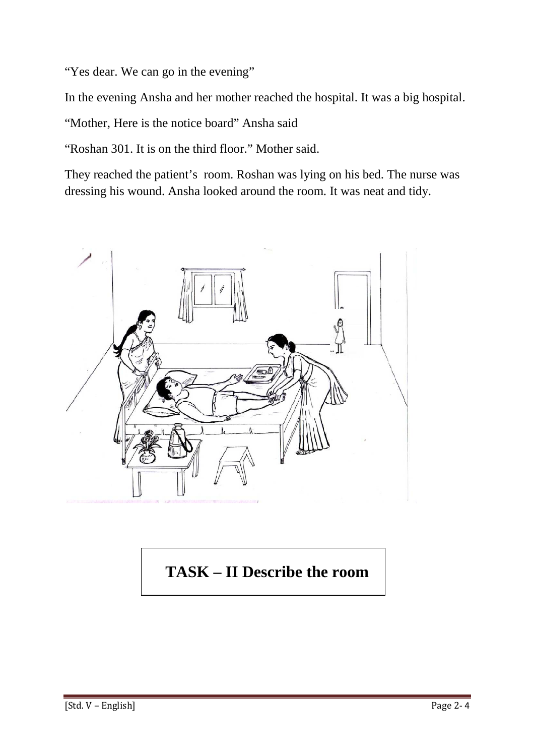"Yes dear. We can go in the evening"

In the evening Ansha and her mother reached the hospital. It was a big hospital.

"Mother, Here is the notice board" Ansha said

"Roshan 301. It is on the third floor." Mother said.

They reached the patient's room. Roshan was lying on his bed. The nurse was dressing his wound. Ansha looked around the room. It was neat and tidy.



## **TASK – II Describe the room**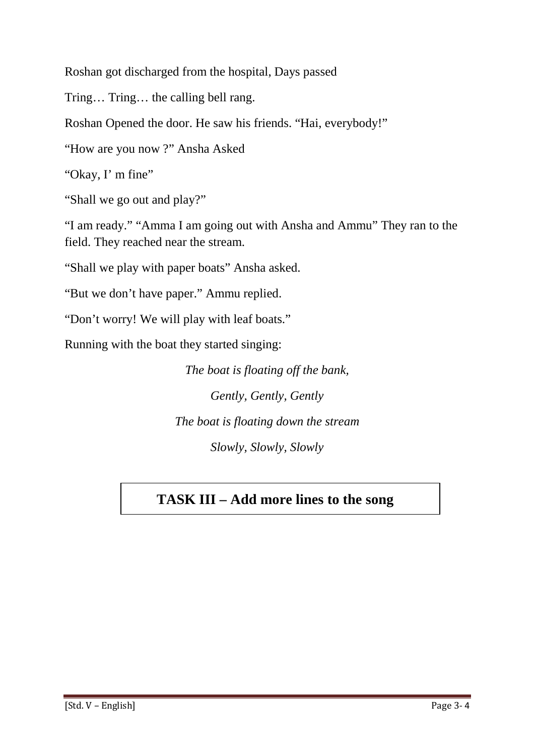Roshan got discharged from the hospital, Days passed

Tring… Tring… the calling bell rang.

Roshan Opened the door. He saw his friends. "Hai, everybody!"

"How are you now ?" Ansha Asked

"Okay, I' m fine"

"Shall we go out and play?"

"I am ready." "Amma I am going out with Ansha and Ammu" They ran to the field. They reached near the stream.

"Shall we play with paper boats" Ansha asked.

"But we don't have paper." Ammu replied.

"Don't worry! We will play with leaf boats."

Running with the boat they started singing:

*The boat is floating off the bank, Gently, Gently, Gently The boat is floating down the stream Slowly, Slowly, Slowly* 

#### **TASK III – Add more lines to the song**